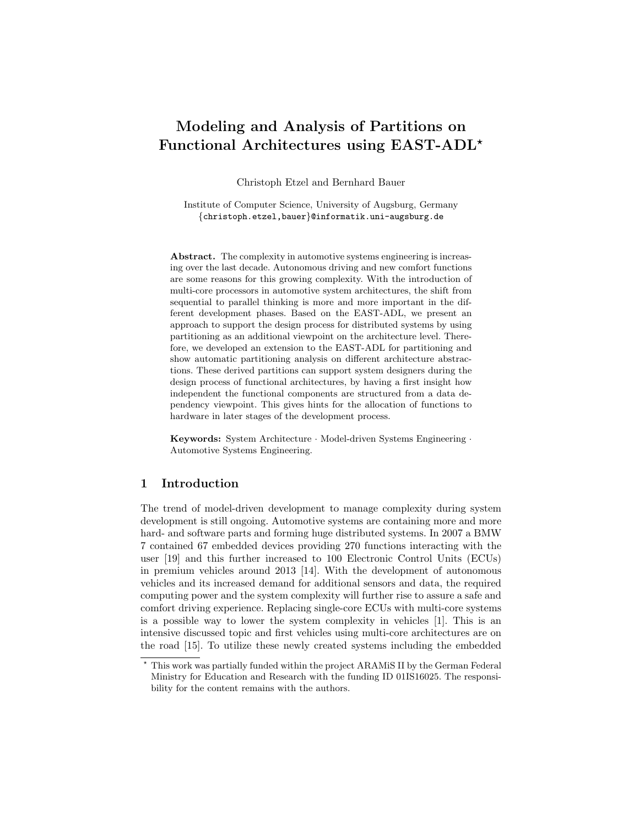# Modeling and Analysis of Partitions on Functional Architectures using EAST-ADL?

Christoph Etzel and Bernhard Bauer

Institute of Computer Science, University of Augsburg, Germany {christoph.etzel,bauer}@informatik.uni-augsburg.de

Abstract. The complexity in automotive systems engineering is increasing over the last decade. Autonomous driving and new comfort functions are some reasons for this growing complexity. With the introduction of multi-core processors in automotive system architectures, the shift from sequential to parallel thinking is more and more important in the different development phases. Based on the EAST-ADL, we present an approach to support the design process for distributed systems by using partitioning as an additional viewpoint on the architecture level. Therefore, we developed an extension to the EAST-ADL for partitioning and show automatic partitioning analysis on different architecture abstractions. These derived partitions can support system designers during the design process of functional architectures, by having a first insight how independent the functional components are structured from a data dependency viewpoint. This gives hints for the allocation of functions to hardware in later stages of the development process.

Keywords: System Architecture · Model-driven Systems Engineering · Automotive Systems Engineering.

# 1 Introduction

The trend of model-driven development to manage complexity during system development is still ongoing. Automotive systems are containing more and more hard- and software parts and forming huge distributed systems. In 2007 a BMW 7 contained 67 embedded devices providing 270 functions interacting with the user [19] and this further increased to 100 Electronic Control Units (ECUs) in premium vehicles around 2013 [14]. With the development of autonomous vehicles and its increased demand for additional sensors and data, the required computing power and the system complexity will further rise to assure a safe and comfort driving experience. Replacing single-core ECUs with multi-core systems is a possible way to lower the system complexity in vehicles [1]. This is an intensive discussed topic and first vehicles using multi-core architectures are on the road [15]. To utilize these newly created systems including the embedded

 $^\star$  This work was partially funded within the project ARAMiS II by the German Federal Ministry for Education and Research with the funding ID 01IS16025. The responsibility for the content remains with the authors.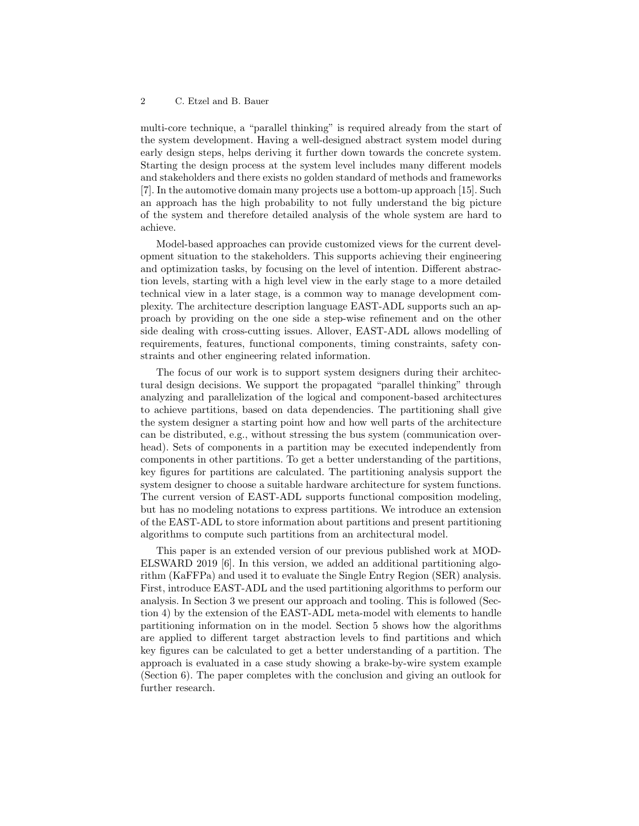multi-core technique, a "parallel thinking" is required already from the start of the system development. Having a well-designed abstract system model during early design steps, helps deriving it further down towards the concrete system. Starting the design process at the system level includes many different models and stakeholders and there exists no golden standard of methods and frameworks [7]. In the automotive domain many projects use a bottom-up approach [15]. Such an approach has the high probability to not fully understand the big picture of the system and therefore detailed analysis of the whole system are hard to achieve.

Model-based approaches can provide customized views for the current development situation to the stakeholders. This supports achieving their engineering and optimization tasks, by focusing on the level of intention. Different abstraction levels, starting with a high level view in the early stage to a more detailed technical view in a later stage, is a common way to manage development complexity. The architecture description language EAST-ADL supports such an approach by providing on the one side a step-wise refinement and on the other side dealing with cross-cutting issues. Allover, EAST-ADL allows modelling of requirements, features, functional components, timing constraints, safety constraints and other engineering related information.

The focus of our work is to support system designers during their architectural design decisions. We support the propagated "parallel thinking" through analyzing and parallelization of the logical and component-based architectures to achieve partitions, based on data dependencies. The partitioning shall give the system designer a starting point how and how well parts of the architecture can be distributed, e.g., without stressing the bus system (communication overhead). Sets of components in a partition may be executed independently from components in other partitions. To get a better understanding of the partitions, key figures for partitions are calculated. The partitioning analysis support the system designer to choose a suitable hardware architecture for system functions. The current version of EAST-ADL supports functional composition modeling, but has no modeling notations to express partitions. We introduce an extension of the EAST-ADL to store information about partitions and present partitioning algorithms to compute such partitions from an architectural model.

This paper is an extended version of our previous published work at MOD-ELSWARD 2019 [6]. In this version, we added an additional partitioning algorithm (KaFFPa) and used it to evaluate the Single Entry Region (SER) analysis. First, introduce EAST-ADL and the used partitioning algorithms to perform our analysis. In Section 3 we present our approach and tooling. This is followed (Section 4) by the extension of the EAST-ADL meta-model with elements to handle partitioning information on in the model. Section 5 shows how the algorithms are applied to different target abstraction levels to find partitions and which key figures can be calculated to get a better understanding of a partition. The approach is evaluated in a case study showing a brake-by-wire system example (Section 6). The paper completes with the conclusion and giving an outlook for further research.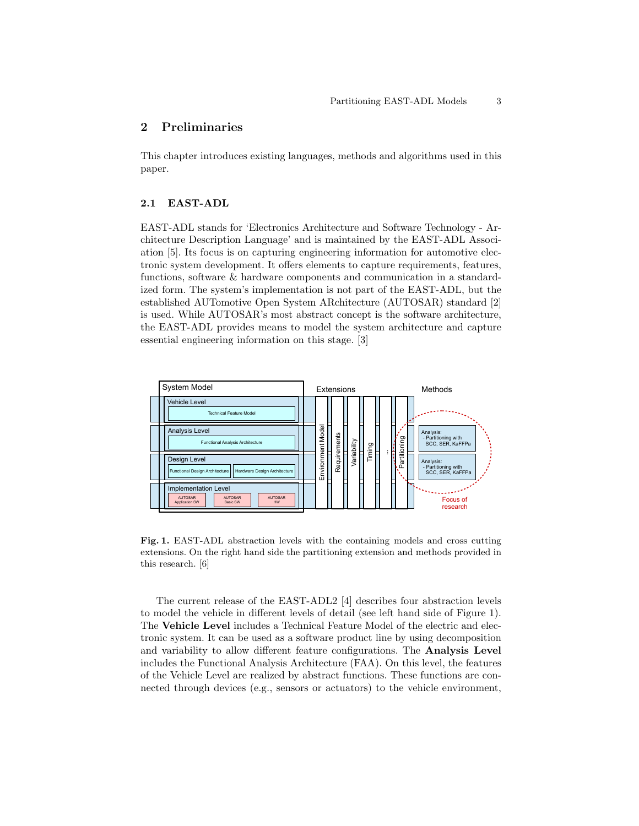# 2 Preliminaries

This chapter introduces existing languages, methods and algorithms used in this paper.

### 2.1 EAST-ADL

EAST-ADL stands for 'Electronics Architecture and Software Technology - Architecture Description Language' and is maintained by the EAST-ADL Association [5]. Its focus is on capturing engineering information for automotive electronic system development. It offers elements to capture requirements, features, functions, software & hardware components and communication in a standardized form. The system's implementation is not part of the EAST-ADL, but the established AUTomotive Open System ARchitecture (AUTOSAR) standard [2] is used. While AUTOSAR's most abstract concept is the software architecture, the EAST-ADL provides means to model the system architecture and capture essential engineering information on this stage. [3]



Fig. 1. EAST-ADL abstraction levels with the containing models and cross cutting extensions. On the right hand side the partitioning extension and methods provided in this research. [6]

The current release of the EAST-ADL2 [4] describes four abstraction levels to model the vehicle in different levels of detail (see left hand side of Figure 1). The Vehicle Level includes a Technical Feature Model of the electric and electronic system. It can be used as a software product line by using decomposition and variability to allow different feature configurations. The Analysis Level includes the Functional Analysis Architecture (FAA). On this level, the features of the Vehicle Level are realized by abstract functions. These functions are connected through devices (e.g., sensors or actuators) to the vehicle environment,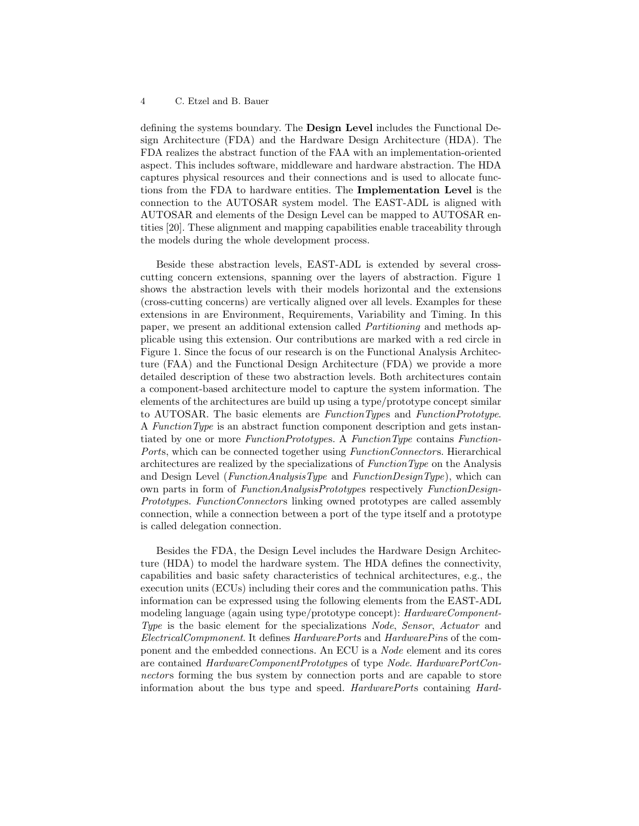defining the systems boundary. The Design Level includes the Functional Design Architecture (FDA) and the Hardware Design Architecture (HDA). The FDA realizes the abstract function of the FAA with an implementation-oriented aspect. This includes software, middleware and hardware abstraction. The HDA captures physical resources and their connections and is used to allocate functions from the FDA to hardware entities. The Implementation Level is the connection to the AUTOSAR system model. The EAST-ADL is aligned with AUTOSAR and elements of the Design Level can be mapped to AUTOSAR entities [20]. These alignment and mapping capabilities enable traceability through the models during the whole development process.

Beside these abstraction levels, EAST-ADL is extended by several crosscutting concern extensions, spanning over the layers of abstraction. Figure 1 shows the abstraction levels with their models horizontal and the extensions (cross-cutting concerns) are vertically aligned over all levels. Examples for these extensions in are Environment, Requirements, Variability and Timing. In this paper, we present an additional extension called Partitioning and methods applicable using this extension. Our contributions are marked with a red circle in Figure 1. Since the focus of our research is on the Functional Analysis Architecture (FAA) and the Functional Design Architecture (FDA) we provide a more detailed description of these two abstraction levels. Both architectures contain a component-based architecture model to capture the system information. The elements of the architectures are build up using a type/prototype concept similar to AUTOSAR. The basic elements are FunctionTypes and FunctionPrototype. A FunctionType is an abstract function component description and gets instantiated by one or more *FunctionPrototypes.* A *FunctionType* contains *Function*-Ports, which can be connected together using *FunctionConnectors*. Hierarchical architectures are realized by the specializations of  $FunctionType$  on the Analysis and Design Level (FunctionAnalysisType and FunctionDesignType), which can own parts in form of FunctionAnalysisPrototypes respectively FunctionDesign-Prototypes. FunctionConnectors linking owned prototypes are called assembly connection, while a connection between a port of the type itself and a prototype is called delegation connection.

Besides the FDA, the Design Level includes the Hardware Design Architecture (HDA) to model the hardware system. The HDA defines the connectivity, capabilities and basic safety characteristics of technical architectures, e.g., the execution units (ECUs) including their cores and the communication paths. This information can be expressed using the following elements from the EAST-ADL modeling language (again using type/prototype concept): HardwareComponent-Type is the basic element for the specializations Node, Sensor, Actuator and ElectricalCompmonent. It defines HardwarePorts and HardwarePins of the component and the embedded connections. An ECU is a Node element and its cores are contained HardwareComponentPrototypes of type Node. HardwarePortConnectors forming the bus system by connection ports and are capable to store information about the bus type and speed. HardwarePorts containing Hard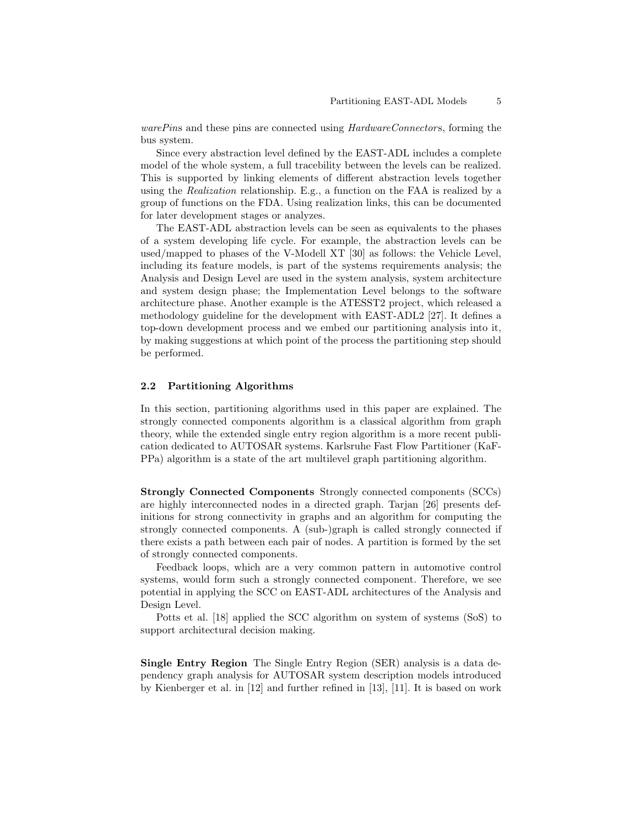warePins and these pins are connected using HardwareConnectors, forming the bus system.

Since every abstraction level defined by the EAST-ADL includes a complete model of the whole system, a full tracebility between the levels can be realized. This is supported by linking elements of different abstraction levels together using the Realization relationship. E.g., a function on the FAA is realized by a group of functions on the FDA. Using realization links, this can be documented for later development stages or analyzes.

The EAST-ADL abstraction levels can be seen as equivalents to the phases of a system developing life cycle. For example, the abstraction levels can be used/mapped to phases of the V-Modell XT [30] as follows: the Vehicle Level, including its feature models, is part of the systems requirements analysis; the Analysis and Design Level are used in the system analysis, system architecture and system design phase; the Implementation Level belongs to the software architecture phase. Another example is the ATESST2 project, which released a methodology guideline for the development with EAST-ADL2 [27]. It defines a top-down development process and we embed our partitioning analysis into it, by making suggestions at which point of the process the partitioning step should be performed.

### 2.2 Partitioning Algorithms

In this section, partitioning algorithms used in this paper are explained. The strongly connected components algorithm is a classical algorithm from graph theory, while the extended single entry region algorithm is a more recent publication dedicated to AUTOSAR systems. Karlsruhe Fast Flow Partitioner (KaF-PPa) algorithm is a state of the art multilevel graph partitioning algorithm.

Strongly Connected Components Strongly connected components (SCCs) are highly interconnected nodes in a directed graph. Tarjan [26] presents definitions for strong connectivity in graphs and an algorithm for computing the strongly connected components. A (sub-)graph is called strongly connected if there exists a path between each pair of nodes. A partition is formed by the set of strongly connected components.

Feedback loops, which are a very common pattern in automotive control systems, would form such a strongly connected component. Therefore, we see potential in applying the SCC on EAST-ADL architectures of the Analysis and Design Level.

Potts et al. [18] applied the SCC algorithm on system of systems (SoS) to support architectural decision making.

Single Entry Region The Single Entry Region (SER) analysis is a data dependency graph analysis for AUTOSAR system description models introduced by Kienberger et al. in [12] and further refined in [13], [11]. It is based on work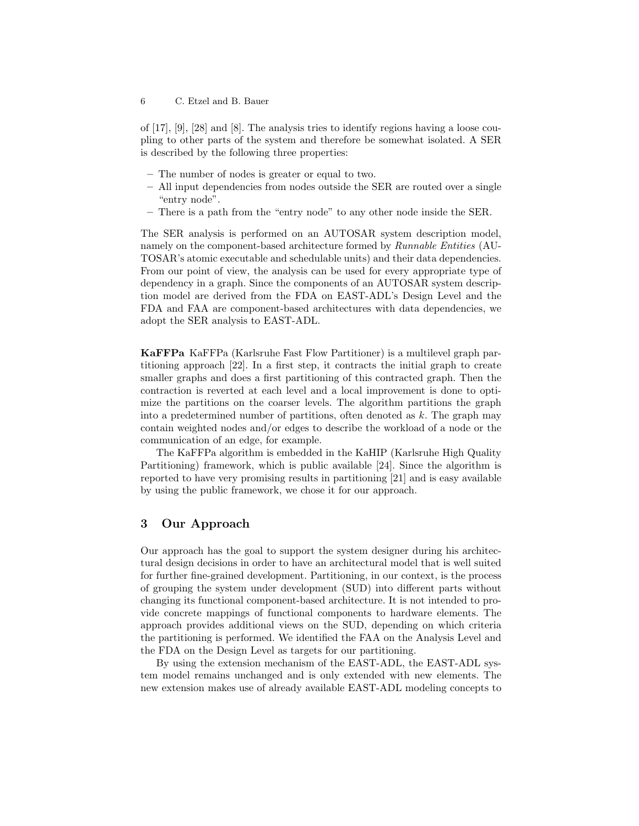of [17], [9], [28] and [8]. The analysis tries to identify regions having a loose coupling to other parts of the system and therefore be somewhat isolated. A SER is described by the following three properties:

- The number of nodes is greater or equal to two.
- All input dependencies from nodes outside the SER are routed over a single "entry node".
- There is a path from the "entry node" to any other node inside the SER.

The SER analysis is performed on an AUTOSAR system description model, namely on the component-based architecture formed by Runnable Entities (AU-TOSAR's atomic executable and schedulable units) and their data dependencies. From our point of view, the analysis can be used for every appropriate type of dependency in a graph. Since the components of an AUTOSAR system description model are derived from the FDA on EAST-ADL's Design Level and the FDA and FAA are component-based architectures with data dependencies, we adopt the SER analysis to EAST-ADL.

KaFFPa KaFFPa (Karlsruhe Fast Flow Partitioner) is a multilevel graph partitioning approach [22]. In a first step, it contracts the initial graph to create smaller graphs and does a first partitioning of this contracted graph. Then the contraction is reverted at each level and a local improvement is done to optimize the partitions on the coarser levels. The algorithm partitions the graph into a predetermined number of partitions, often denoted as  $k$ . The graph may contain weighted nodes and/or edges to describe the workload of a node or the communication of an edge, for example.

The KaFFPa algorithm is embedded in the KaHIP (Karlsruhe High Quality Partitioning) framework, which is public available [24]. Since the algorithm is reported to have very promising results in partitioning [21] and is easy available by using the public framework, we chose it for our approach.

# 3 Our Approach

Our approach has the goal to support the system designer during his architectural design decisions in order to have an architectural model that is well suited for further fine-grained development. Partitioning, in our context, is the process of grouping the system under development (SUD) into different parts without changing its functional component-based architecture. It is not intended to provide concrete mappings of functional components to hardware elements. The approach provides additional views on the SUD, depending on which criteria the partitioning is performed. We identified the FAA on the Analysis Level and the FDA on the Design Level as targets for our partitioning.

By using the extension mechanism of the EAST-ADL, the EAST-ADL system model remains unchanged and is only extended with new elements. The new extension makes use of already available EAST-ADL modeling concepts to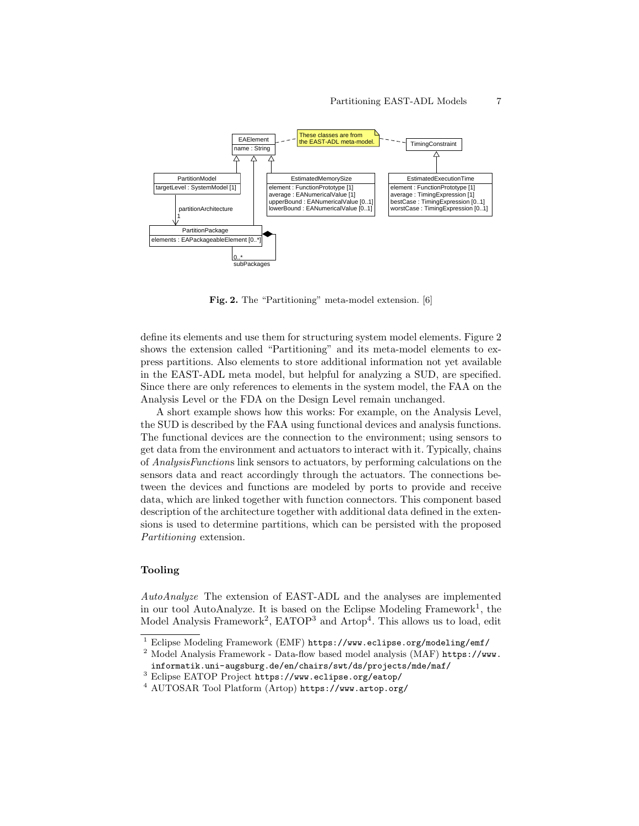

Fig. 2. The "Partitioning" meta-model extension. [6]

define its elements and use them for structuring system model elements. Figure 2 shows the extension called "Partitioning" and its meta-model elements to express partitions. Also elements to store additional information not yet available in the EAST-ADL meta model, but helpful for analyzing a SUD, are specified. Since there are only references to elements in the system model, the FAA on the Analysis Level or the FDA on the Design Level remain unchanged.

A short example shows how this works: For example, on the Analysis Level, the SUD is described by the FAA using functional devices and analysis functions. The functional devices are the connection to the environment; using sensors to get data from the environment and actuators to interact with it. Typically, chains of AnalysisFunctions link sensors to actuators, by performing calculations on the sensors data and react accordingly through the actuators. The connections between the devices and functions are modeled by ports to provide and receive data, which are linked together with function connectors. This component based description of the architecture together with additional data defined in the extensions is used to determine partitions, which can be persisted with the proposed Partitioning extension.

### Tooling

AutoAnalyze The extension of EAST-ADL and the analyses are implemented in our tool AutoAnalyze. It is based on the Eclipse Modeling Framework<sup>1</sup>, the Model Analysis Framework<sup>2</sup>, EATOP<sup>3</sup> and Artop<sup>4</sup>. This allows us to load, edit

<sup>1</sup> Eclipse Modeling Framework (EMF) https://www.eclipse.org/modeling/emf/

<sup>2</sup> Model Analysis Framework - Data-flow based model analysis (MAF) https://www. informatik.uni-augsburg.de/en/chairs/swt/ds/projects/mde/maf/

<sup>3</sup> Eclipse EATOP Project https://www.eclipse.org/eatop/

<sup>4</sup> AUTOSAR Tool Platform (Artop) https://www.artop.org/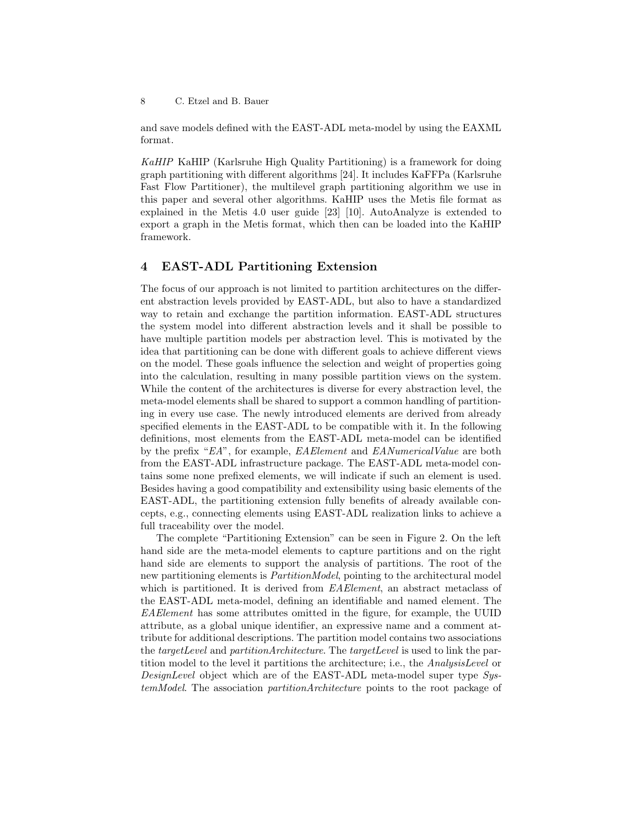and save models defined with the EAST-ADL meta-model by using the EAXML format.

KaHIP KaHIP (Karlsruhe High Quality Partitioning) is a framework for doing graph partitioning with different algorithms [24]. It includes KaFFPa (Karlsruhe Fast Flow Partitioner), the multilevel graph partitioning algorithm we use in this paper and several other algorithms. KaHIP uses the Metis file format as explained in the Metis 4.0 user guide [23] [10]. AutoAnalyze is extended to export a graph in the Metis format, which then can be loaded into the KaHIP framework.

### 4 EAST-ADL Partitioning Extension

The focus of our approach is not limited to partition architectures on the different abstraction levels provided by EAST-ADL, but also to have a standardized way to retain and exchange the partition information. EAST-ADL structures the system model into different abstraction levels and it shall be possible to have multiple partition models per abstraction level. This is motivated by the idea that partitioning can be done with different goals to achieve different views on the model. These goals influence the selection and weight of properties going into the calculation, resulting in many possible partition views on the system. While the content of the architectures is diverse for every abstraction level, the meta-model elements shall be shared to support a common handling of partitioning in every use case. The newly introduced elements are derived from already specified elements in the EAST-ADL to be compatible with it. In the following definitions, most elements from the EAST-ADL meta-model can be identified by the prefix "EA", for example, EAElement and EANumericalValue are both from the EAST-ADL infrastructure package. The EAST-ADL meta-model contains some none prefixed elements, we will indicate if such an element is used. Besides having a good compatibility and extensibility using basic elements of the EAST-ADL, the partitioning extension fully benefits of already available concepts, e.g., connecting elements using EAST-ADL realization links to achieve a full traceability over the model.

The complete "Partitioning Extension" can be seen in Figure 2. On the left hand side are the meta-model elements to capture partitions and on the right hand side are elements to support the analysis of partitions. The root of the new partitioning elements is PartitionModel, pointing to the architectural model which is partitioned. It is derived from *EAElement*, an abstract metaclass of the EAST-ADL meta-model, defining an identifiable and named element. The EAElement has some attributes omitted in the figure, for example, the UUID attribute, as a global unique identifier, an expressive name and a comment attribute for additional descriptions. The partition model contains two associations the targetLevel and partitionArchitecture. The targetLevel is used to link the partition model to the level it partitions the architecture; i.e., the AnalysisLevel or DesignLevel object which are of the EAST-ADL meta-model super type SystemModel. The association partitionArchitecture points to the root package of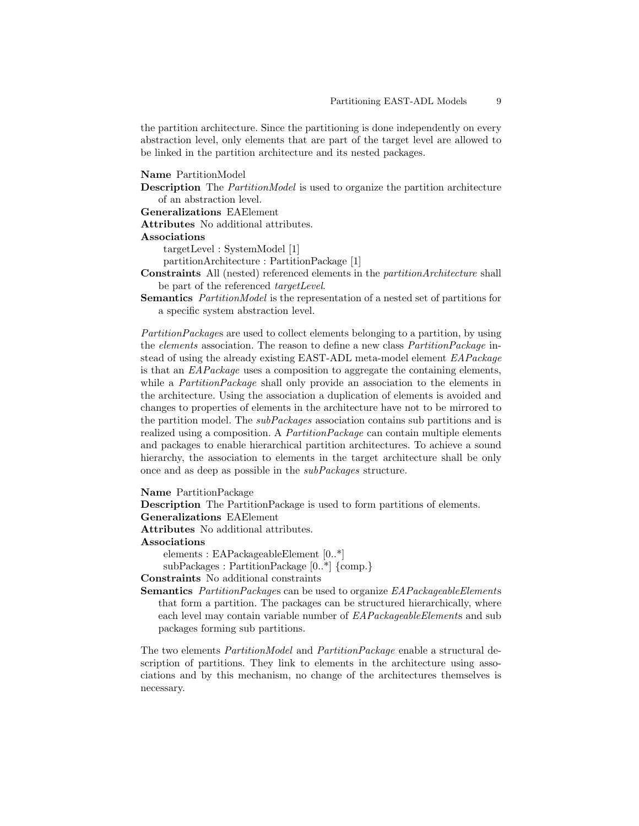the partition architecture. Since the partitioning is done independently on every abstraction level, only elements that are part of the target level are allowed to be linked in the partition architecture and its nested packages.

Name PartitionModel

**Description** The *PartitionModel* is used to organize the partition architecture of an abstraction level.

Generalizations EAElement

Attributes No additional attributes.

#### Associations

targetLevel : SystemModel [1]

partitionArchitecture : PartitionPackage [1]

Constraints All (nested) referenced elements in the partitionArchitecture shall be part of the referenced targetLevel.

Semantics *PartitionModel* is the representation of a nested set of partitions for a specific system abstraction level.

PartitionPackages are used to collect elements belonging to a partition, by using the elements association. The reason to define a new class PartitionPackage instead of using the already existing EAST-ADL meta-model element EAPackage is that an EAPackage uses a composition to aggregate the containing elements, while a *PartitionPackage* shall only provide an association to the elements in the architecture. Using the association a duplication of elements is avoided and changes to properties of elements in the architecture have not to be mirrored to the partition model. The subPackages association contains sub partitions and is realized using a composition. A *PartitionPackage* can contain multiple elements and packages to enable hierarchical partition architectures. To achieve a sound hierarchy, the association to elements in the target architecture shall be only once and as deep as possible in the subPackages structure.

Name PartitionPackage

Description The PartitionPackage is used to form partitions of elements. Generalizations EAElement

Attributes No additional attributes.

### Associations

elements : EAPackageableElement [0..\*]

subPackages : PartitionPackage [0..\*] {comp.}

Constraints No additional constraints

Semantics PartitionPackages can be used to organize EAPackageableElements that form a partition. The packages can be structured hierarchically, where each level may contain variable number of  $\emph{EAPackageableElements}$  and subpackages forming sub partitions.

The two elements PartitionModel and PartitionPackage enable a structural description of partitions. They link to elements in the architecture using associations and by this mechanism, no change of the architectures themselves is necessary.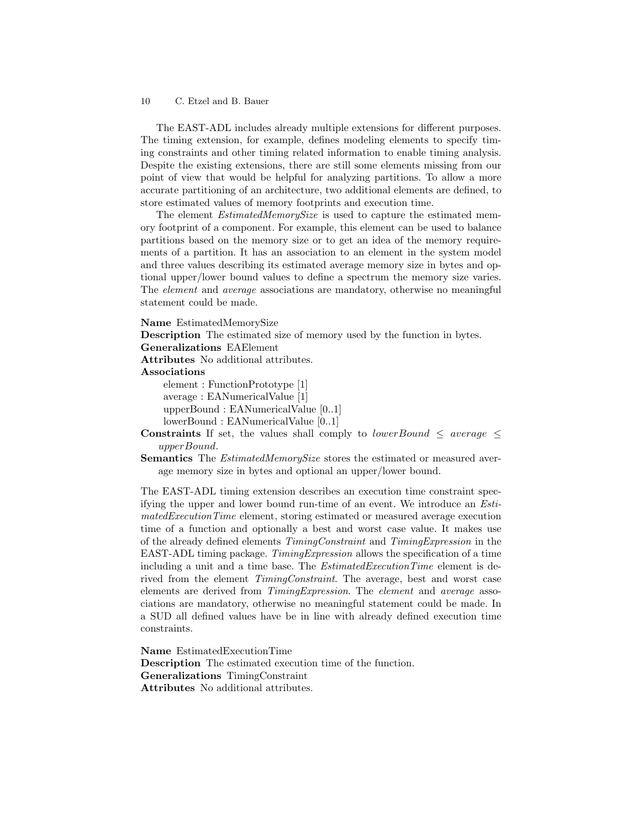The EAST-ADL includes already multiple extensions for different purposes. The timing extension, for example, defines modeling elements to specify timing constraints and other timing related information to enable timing analysis. Despite the existing extensions, there are still some elements missing from our point of view that would be helpful for analyzing partitions. To allow a more accurate partitioning of an architecture, two additional elements are defined, to store estimated values of memory footprints and execution time.

The element *EstimatedMemorySize* is used to capture the estimated memory footprint of a component. For example, this element can be used to balance partitions based on the memory size or to get an idea of the memory requirements of a partition. It has an association to an element in the system model and three values describing its estimated average memory size in bytes and optional upper/lower bound values to define a spectrum the memory size varies. The element and average associations are mandatory, otherwise no meaningful statement could be made.

Name EstimatedMemorySize

Description The estimated size of memory used by the function in bytes. Generalizations EAElement

Attributes No additional attributes.

### Associations

element : FunctionPrototype [1] average : EANumericalValue [1] upperBound : EANumericalValue [0..1] lowerBound : EANumericalValue [0..1]

- Constraints If set, the values shall comply to *lowerBound*  $\leq$  *average*  $\leq$ upperBound.
- Semantics The *EstimatedMemorySize* stores the estimated or measured average memory size in bytes and optional an upper/lower bound.

The EAST-ADL timing extension describes an execution time constraint specifying the upper and lower bound run-time of an event. We introduce an EstimatedExecutionTime element, storing estimated or measured average execution time of a function and optionally a best and worst case value. It makes use of the already defined elements TimingConstraint and TimingExpression in the EAST-ADL timing package. Timing Expression allows the specification of a time including a unit and a time base. The EstimatedExecutionTime element is derived from the element TimingConstraint. The average, best and worst case elements are derived from TimingExpression. The element and average associations are mandatory, otherwise no meaningful statement could be made. In a SUD all defined values have be in line with already defined execution time constraints.

Name EstimatedExecutionTime Description The estimated execution time of the function. Generalizations TimingConstraint Attributes No additional attributes.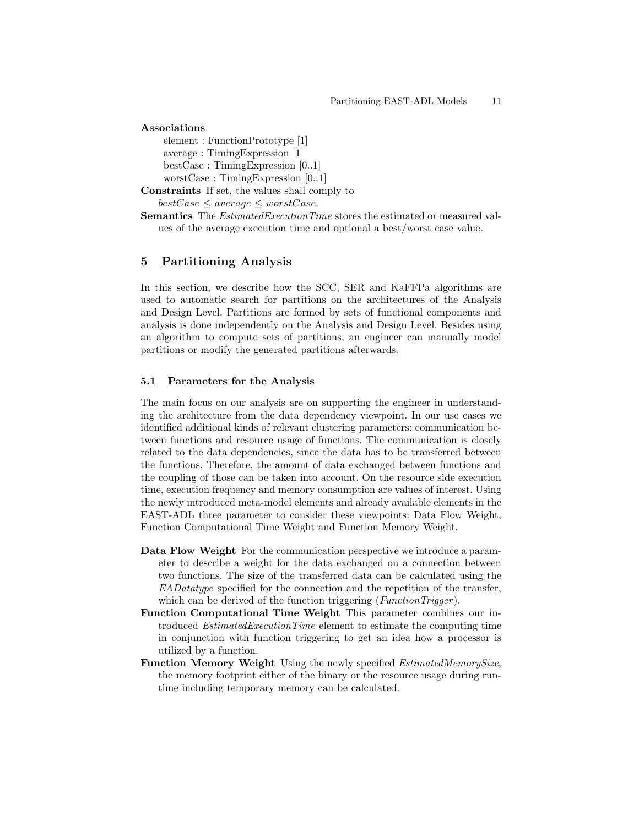Associations

element : FunctionPrototype [1] average : TimingExpression [1] bestCase : TimingExpression [0..1] worstCase : TimingExpression [0..1] Constraints If set, the values shall comply to

 $bestCase \le average \le worstCase.$ 

Semantics The *EstimatedExecutionTime* stores the estimated or measured values of the average execution time and optional a best/worst case value.

## 5 Partitioning Analysis

In this section, we describe how the SCC, SER and KaFFPa algorithms are used to automatic search for partitions on the architectures of the Analysis and Design Level. Partitions are formed by sets of functional components and analysis is done independently on the Analysis and Design Level. Besides using an algorithm to compute sets of partitions, an engineer can manually model partitions or modify the generated partitions afterwards.

### 5.1 Parameters for the Analysis

The main focus on our analysis are on supporting the engineer in understanding the architecture from the data dependency viewpoint. In our use cases we identified additional kinds of relevant clustering parameters: communication between functions and resource usage of functions. The communication is closely related to the data dependencies, since the data has to be transferred between the functions. Therefore, the amount of data exchanged between functions and the coupling of those can be taken into account. On the resource side execution time, execution frequency and memory consumption are values of interest. Using the newly introduced meta-model elements and already available elements in the EAST-ADL three parameter to consider these viewpoints: Data Flow Weight, Function Computational Time Weight and Function Memory Weight.

- Data Flow Weight For the communication perspective we introduce a parameter to describe a weight for the data exchanged on a connection between two functions. The size of the transferred data can be calculated using the EADatatype specified for the connection and the repetition of the transfer, which can be derived of the function triggering ( $FunctionTriager$ ).
- Function Computational Time Weight This parameter combines our introduced EstimatedExecutionTime element to estimate the computing time in conjunction with function triggering to get an idea how a processor is utilized by a function.
- Function Memory Weight Using the newly specified EstimatedMemorySize, the memory footprint either of the binary or the resource usage during runtime including temporary memory can be calculated.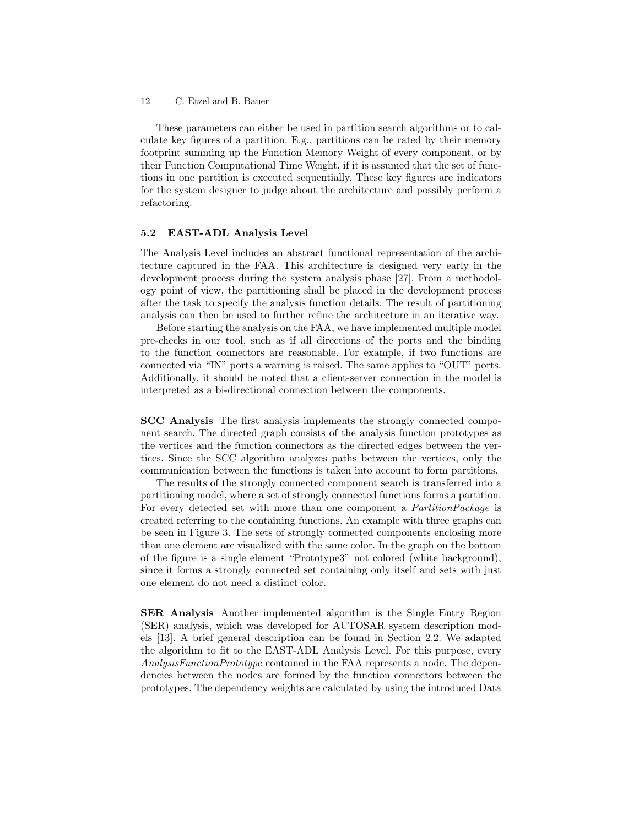These parameters can either be used in partition search algorithms or to calculate key figures of a partition. E.g., partitions can be rated by their memory footprint summing up the Function Memory Weight of every component, or by their Function Computational Time Weight, if it is assumed that the set of functions in one partition is executed sequentially. These key figures are indicators for the system designer to judge about the architecture and possibly perform a refactoring.

### 5.2 EAST-ADL Analysis Level

The Analysis Level includes an abstract functional representation of the architecture captured in the FAA. This architecture is designed very early in the development process during the system analysis phase [27]. From a methodology point of view, the partitioning shall be placed in the development process after the task to specify the analysis function details. The result of partitioning analysis can then be used to further refine the architecture in an iterative way.

Before starting the analysis on the FAA, we have implemented multiple model pre-checks in our tool, such as if all directions of the ports and the binding to the function connectors are reasonable. For example, if two functions are connected via "IN" ports a warning is raised. The same applies to "OUT" ports. Additionally, it should be noted that a client-server connection in the model is interpreted as a bi-directional connection between the components.

SCC Analysis The first analysis implements the strongly connected component search. The directed graph consists of the analysis function prototypes as the vertices and the function connectors as the directed edges between the vertices. Since the SCC algorithm analyzes paths between the vertices, only the communication between the functions is taken into account to form partitions.

The results of the strongly connected component search is transferred into a partitioning model, where a set of strongly connected functions forms a partition. For every detected set with more than one component a *PartitionPackage* is created referring to the containing functions. An example with three graphs can be seen in Figure 3. The sets of strongly connected components enclosing more than one element are visualized with the same color. In the graph on the bottom of the figure is a single element "Prototype3" not colored (white background), since it forms a strongly connected set containing only itself and sets with just one element do not need a distinct color.

SER Analysis Another implemented algorithm is the Single Entry Region (SER) analysis, which was developed for AUTOSAR system description models [13]. A brief general description can be found in Section 2.2. We adapted the algorithm to fit to the EAST-ADL Analysis Level. For this purpose, every AnalysisFunctionPrototype contained in the FAA represents a node. The dependencies between the nodes are formed by the function connectors between the prototypes. The dependency weights are calculated by using the introduced Data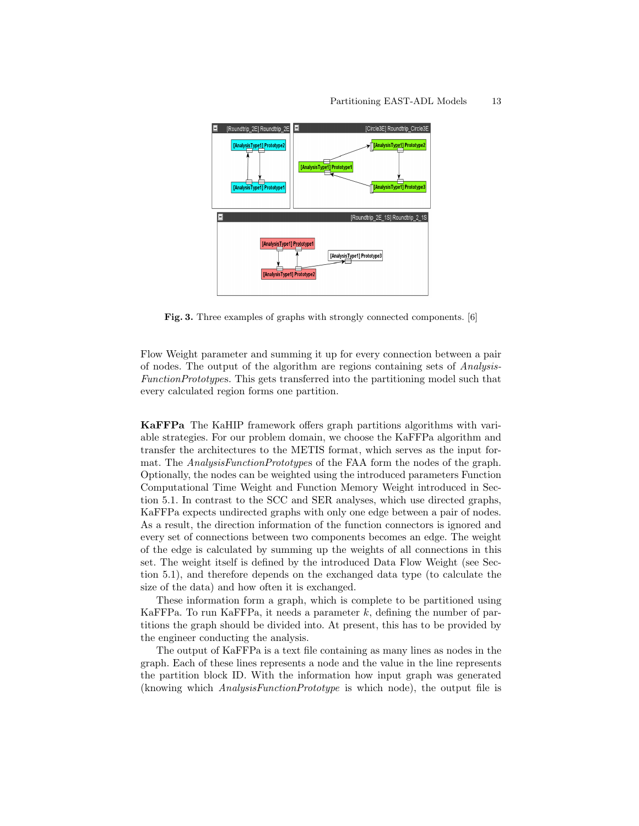

Fig. 3. Three examples of graphs with strongly connected components. [6]

Flow Weight parameter and summing it up for every connection between a pair of nodes. The output of the algorithm are regions containing sets of Analysis-FunctionPrototypes. This gets transferred into the partitioning model such that every calculated region forms one partition.

KaFFPa The KaHIP framework offers graph partitions algorithms with variable strategies. For our problem domain, we choose the KaFFPa algorithm and transfer the architectures to the METIS format, which serves as the input format. The *AnalysisFunctionPrototypes* of the FAA form the nodes of the graph. Optionally, the nodes can be weighted using the introduced parameters Function Computational Time Weight and Function Memory Weight introduced in Section 5.1. In contrast to the SCC and SER analyses, which use directed graphs, KaFFPa expects undirected graphs with only one edge between a pair of nodes. As a result, the direction information of the function connectors is ignored and every set of connections between two components becomes an edge. The weight of the edge is calculated by summing up the weights of all connections in this set. The weight itself is defined by the introduced Data Flow Weight (see Section 5.1), and therefore depends on the exchanged data type (to calculate the size of the data) and how often it is exchanged.

These information form a graph, which is complete to be partitioned using KaFFPa. To run KaFFPa, it needs a parameter  $k$ , defining the number of partitions the graph should be divided into. At present, this has to be provided by the engineer conducting the analysis.

The output of KaFFPa is a text file containing as many lines as nodes in the graph. Each of these lines represents a node and the value in the line represents the partition block ID. With the information how input graph was generated (knowing which AnalysisFunctionPrototype is which node), the output file is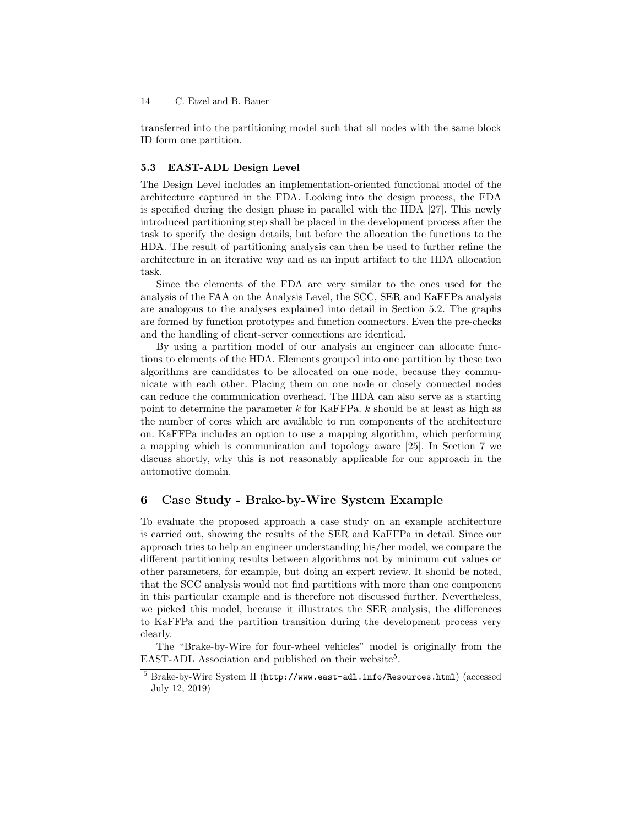transferred into the partitioning model such that all nodes with the same block ID form one partition.

### 5.3 EAST-ADL Design Level

The Design Level includes an implementation-oriented functional model of the architecture captured in the FDA. Looking into the design process, the FDA is specified during the design phase in parallel with the HDA [27]. This newly introduced partitioning step shall be placed in the development process after the task to specify the design details, but before the allocation the functions to the HDA. The result of partitioning analysis can then be used to further refine the architecture in an iterative way and as an input artifact to the HDA allocation task.

Since the elements of the FDA are very similar to the ones used for the analysis of the FAA on the Analysis Level, the SCC, SER and KaFFPa analysis are analogous to the analyses explained into detail in Section 5.2. The graphs are formed by function prototypes and function connectors. Even the pre-checks and the handling of client-server connections are identical.

By using a partition model of our analysis an engineer can allocate functions to elements of the HDA. Elements grouped into one partition by these two algorithms are candidates to be allocated on one node, because they communicate with each other. Placing them on one node or closely connected nodes can reduce the communication overhead. The HDA can also serve as a starting point to determine the parameter k for KaFFPa. k should be at least as high as the number of cores which are available to run components of the architecture on. KaFFPa includes an option to use a mapping algorithm, which performing a mapping which is communication and topology aware [25]. In Section 7 we discuss shortly, why this is not reasonably applicable for our approach in the automotive domain.

# 6 Case Study - Brake-by-Wire System Example

To evaluate the proposed approach a case study on an example architecture is carried out, showing the results of the SER and KaFFPa in detail. Since our approach tries to help an engineer understanding his/her model, we compare the different partitioning results between algorithms not by minimum cut values or other parameters, for example, but doing an expert review. It should be noted, that the SCC analysis would not find partitions with more than one component in this particular example and is therefore not discussed further. Nevertheless, we picked this model, because it illustrates the SER analysis, the differences to KaFFPa and the partition transition during the development process very clearly.

The "Brake-by-Wire for four-wheel vehicles" model is originally from the EAST-ADL Association and published on their website<sup>5</sup>.

<sup>5</sup> Brake-by-Wire System II (http://www.east-adl.info/Resources.html) (accessed July 12, 2019)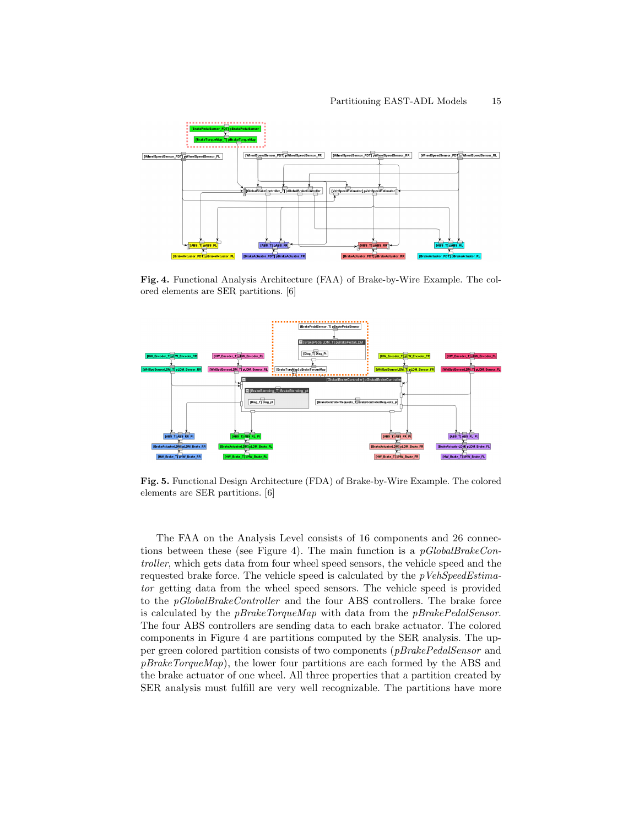

Fig. 4. Functional Analysis Architecture (FAA) of Brake-by-Wire Example. The colored elements are SER partitions. [6]



Fig. 5. Functional Design Architecture (FDA) of Brake-by-Wire Example. The colored elements are SER partitions. [6]

The FAA on the Analysis Level consists of 16 components and 26 connections between these (see Figure 4). The main function is a  $pGlobalBrakeCon$ troller, which gets data from four wheel speed sensors, the vehicle speed and the requested brake force. The vehicle speed is calculated by the  $p Veh SpeedEstima$ tor getting data from the wheel speed sensors. The vehicle speed is provided to the pGlobalBrakeController and the four ABS controllers. The brake force is calculated by the  $pBrakeTorqueMap$  with data from the  $pBrakePedalSensor$ . The four ABS controllers are sending data to each brake actuator. The colored components in Figure 4 are partitions computed by the SER analysis. The upper green colored partition consists of two components (pBrakePedalSensor and  $pBrakeTorqueMap$ , the lower four partitions are each formed by the ABS and the brake actuator of one wheel. All three properties that a partition created by SER analysis must fulfill are very well recognizable. The partitions have more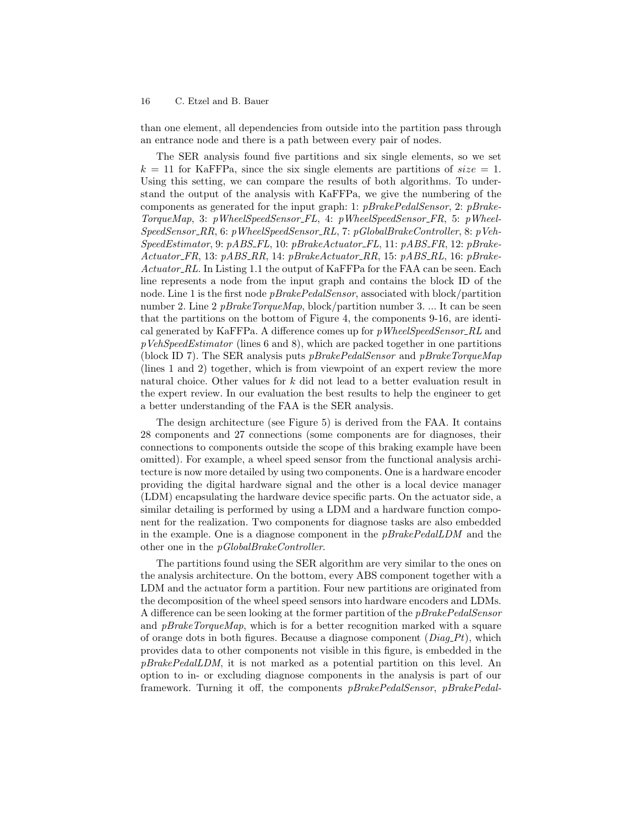than one element, all dependencies from outside into the partition pass through an entrance node and there is a path between every pair of nodes.

The SER analysis found five partitions and six single elements, so we set  $k = 11$  for KaFFPa, since the six single elements are partitions of  $size = 1$ . Using this setting, we can compare the results of both algorithms. To understand the output of the analysis with KaFFPa, we give the numbering of the components as generated for the input graph: 1:  $pBrakePedalSensor$ , 2:  $pBrake-$ TorqueMap, 3: pWheelSpeedSensor FL, 4: pWheelSpeedSensor FR, 5: pWheel-SpeedSensor RR, 6: pWheelSpeedSensor RL, 7: pGlobalBrakeController, 8: pVeh-SpeedEstimator, 9: pABS FL, 10: pBrakeActuator FL, 11: pABS FR, 12: pBrake-Actuator FR, 13: pABS RR, 14: pBrakeActuator RR, 15: pABS RL, 16: pBrake-Actuator\_RL. In Listing 1.1 the output of KaFFPa for the FAA can be seen. Each line represents a node from the input graph and contains the block ID of the node. Line 1 is the first node  $pBrakePedalSensor$ , associated with block/partition number 2. Line 2 pBrakeTorqueMap, block/partition number 3. ... It can be seen that the partitions on the bottom of Figure 4, the components 9-16, are identical generated by KaFFPa. A difference comes up for  $p$  WheelSpeedSensor\_RL and  $pVehSpeedEstimator$  (lines 6 and 8), which are packed together in one partitions (block ID 7). The SER analysis puts pBrakePedalSensor and pBrakeTorqueMap (lines 1 and 2) together, which is from viewpoint of an expert review the more natural choice. Other values for k did not lead to a better evaluation result in the expert review. In our evaluation the best results to help the engineer to get a better understanding of the FAA is the SER analysis.

The design architecture (see Figure 5) is derived from the FAA. It contains 28 components and 27 connections (some components are for diagnoses, their connections to components outside the scope of this braking example have been omitted). For example, a wheel speed sensor from the functional analysis architecture is now more detailed by using two components. One is a hardware encoder providing the digital hardware signal and the other is a local device manager (LDM) encapsulating the hardware device specific parts. On the actuator side, a similar detailing is performed by using a LDM and a hardware function component for the realization. Two components for diagnose tasks are also embedded in the example. One is a diagnose component in the  $pBrakePedal LDM$  and the other one in the pGlobalBrakeController.

The partitions found using the SER algorithm are very similar to the ones on the analysis architecture. On the bottom, every ABS component together with a LDM and the actuator form a partition. Four new partitions are originated from the decomposition of the wheel speed sensors into hardware encoders and LDMs. A difference can be seen looking at the former partition of the pBrakePedalSensor and  $pBrakeTorqueMap$ , which is for a better recognition marked with a square of orange dots in both figures. Because a diagnose component  $(Diag$ - $Pt)$ , which provides data to other components not visible in this figure, is embedded in the pBrakePedalLDM, it is not marked as a potential partition on this level. An option to in- or excluding diagnose components in the analysis is part of our framework. Turning it off, the components pBrakePedalSensor, pBrakePedal-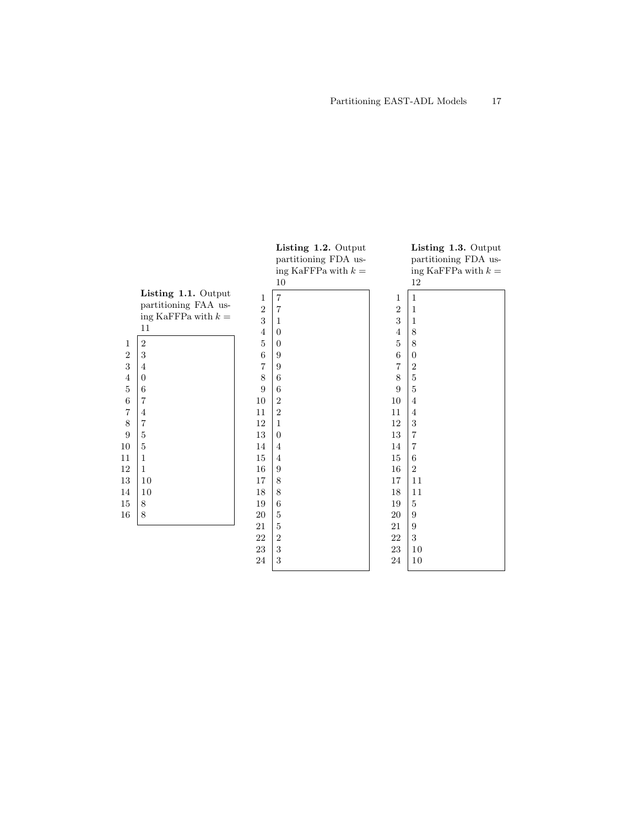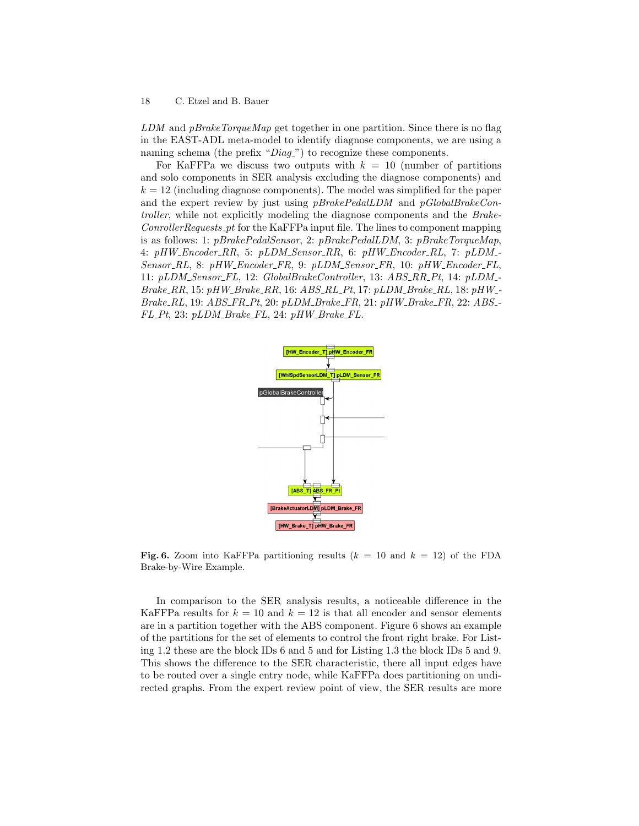$LDM$  and  $pBrake TorqueMap$  get together in one partition. Since there is no flag in the EAST-ADL meta-model to identify diagnose components, we are using a naming schema (the prefix " $Diag$ ") to recognize these components.

For KaFFPa we discuss two outputs with  $k = 10$  (number of partitions and solo components in SER analysis excluding the diagnose components) and  $k = 12$  (including diagnose components). The model was simplified for the paper and the expert review by just using  $pBrakePedal LDM$  and  $pGlobalBrakeCon$ troller, while not explicitly modeling the diagnose components and the Brake-ConrollerRequests pt for the KaFFPa input file. The lines to component mapping is as follows: 1: pBrakePedalSensor, 2: pBrakePedalLDM, 3: pBrakeTorqueMap, 4: pHW\_Encoder\_RR, 5: pLDM\_Sensor\_RR, 6: pHW\_Encoder\_RL, 7: pLDM\_-Sensor RL, 8: pHW Encoder FR, 9: pLDM Sensor FR, 10: pHW Encoder FL, 11: pLDM Sensor FL, 12: GlobalBrakeController, 13: ABS RR Pt, 14: pLDM - Brake RR, 15: pHW Brake RR, 16: ABS RL Pt, 17: pLDM Brake RL, 18: pHW - Brake RL, 19: ABS FR Pt, 20: pLDM Brake FR, 21: pHW Brake FR, 22: ABS - FL Pt, 23: pLDM Brake FL, 24: pHW Brake FL.



Fig. 6. Zoom into KaFFPa partitioning results  $(k = 10$  and  $k = 12)$  of the FDA Brake-by-Wire Example.

In comparison to the SER analysis results, a noticeable difference in the KaFFPa results for  $k = 10$  and  $k = 12$  is that all encoder and sensor elements are in a partition together with the ABS component. Figure 6 shows an example of the partitions for the set of elements to control the front right brake. For Listing 1.2 these are the block IDs 6 and 5 and for Listing 1.3 the block IDs 5 and 9. This shows the difference to the SER characteristic, there all input edges have to be routed over a single entry node, while KaFFPa does partitioning on undirected graphs. From the expert review point of view, the SER results are more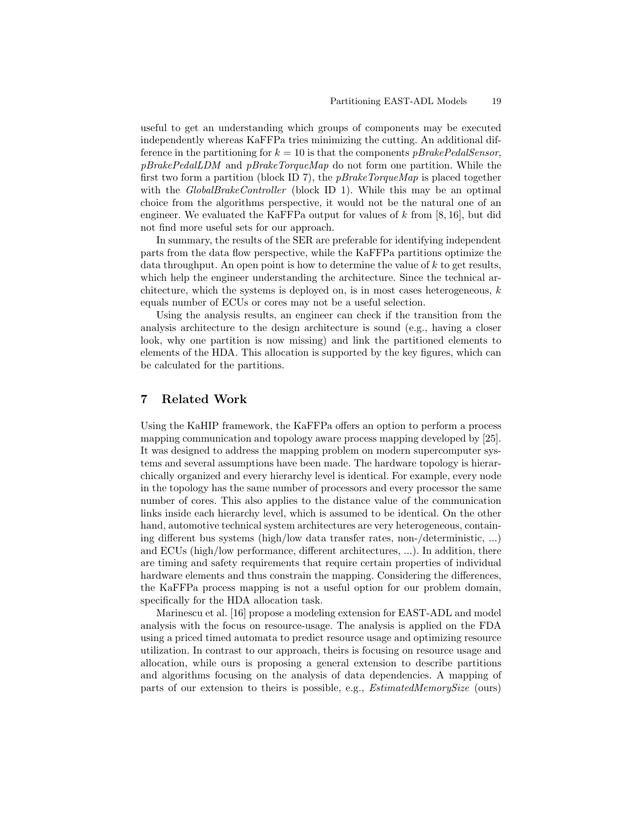useful to get an understanding which groups of components may be executed independently whereas KaFFPa tries minimizing the cutting. An additional difference in the partitioning for  $k = 10$  is that the components pBrakePedalSensor, pBrakePedalLDM and pBrakeTorqueMap do not form one partition. While the first two form a partition (block ID 7), the  $pBrakeTorqueMap$  is placed together with the *GlobalBrakeController* (block ID 1). While this may be an optimal choice from the algorithms perspective, it would not be the natural one of an engineer. We evaluated the KaFFPa output for values of k from [8, 16], but did not find more useful sets for our approach.

In summary, the results of the SER are preferable for identifying independent parts from the data flow perspective, while the KaFFPa partitions optimize the data throughput. An open point is how to determine the value of  $k$  to get results, which help the engineer understanding the architecture. Since the technical architecture, which the systems is deployed on, is in most cases heterogeneous,  $k$ equals number of ECUs or cores may not be a useful selection.

Using the analysis results, an engineer can check if the transition from the analysis architecture to the design architecture is sound (e.g., having a closer look, why one partition is now missing) and link the partitioned elements to elements of the HDA. This allocation is supported by the key figures, which can be calculated for the partitions.

# 7 Related Work

Using the KaHIP framework, the KaFFPa offers an option to perform a process mapping communication and topology aware process mapping developed by [25]. It was designed to address the mapping problem on modern supercomputer systems and several assumptions have been made. The hardware topology is hierarchically organized and every hierarchy level is identical. For example, every node in the topology has the same number of processors and every processor the same number of cores. This also applies to the distance value of the communication links inside each hierarchy level, which is assumed to be identical. On the other hand, automotive technical system architectures are very heterogeneous, containing different bus systems (high/low data transfer rates, non-/deterministic, ...) and ECUs (high/low performance, different architectures, ...). In addition, there are timing and safety requirements that require certain properties of individual hardware elements and thus constrain the mapping. Considering the differences, the KaFFPa process mapping is not a useful option for our problem domain, specifically for the HDA allocation task.

Marinescu et al. [16] propose a modeling extension for EAST-ADL and model analysis with the focus on resource-usage. The analysis is applied on the FDA using a priced timed automata to predict resource usage and optimizing resource utilization. In contrast to our approach, theirs is focusing on resource usage and allocation, while ours is proposing a general extension to describe partitions and algorithms focusing on the analysis of data dependencies. A mapping of parts of our extension to theirs is possible, e.g., EstimatedMemorySize (ours)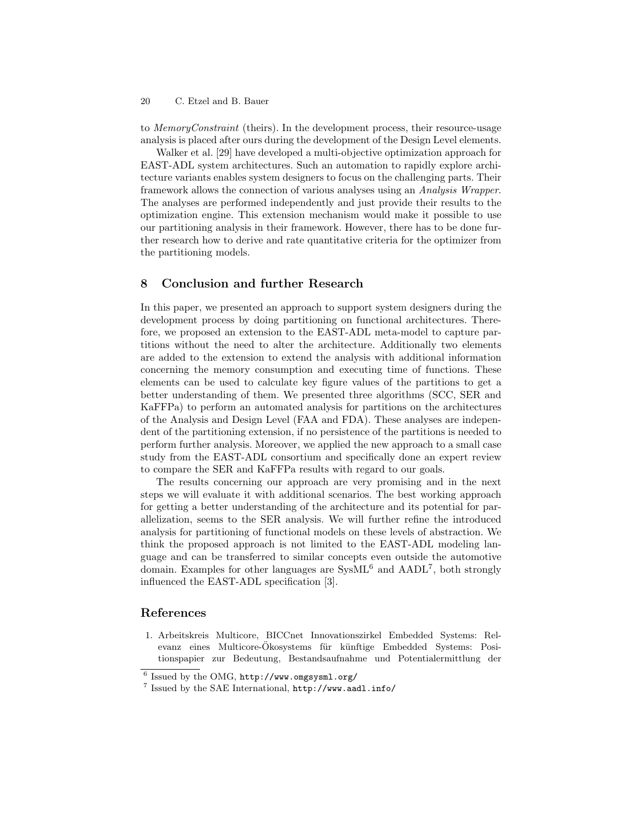to MemoryConstraint (theirs). In the development process, their resource-usage analysis is placed after ours during the development of the Design Level elements.

Walker et al. [29] have developed a multi-objective optimization approach for EAST-ADL system architectures. Such an automation to rapidly explore architecture variants enables system designers to focus on the challenging parts. Their framework allows the connection of various analyses using an Analysis Wrapper. The analyses are performed independently and just provide their results to the optimization engine. This extension mechanism would make it possible to use our partitioning analysis in their framework. However, there has to be done further research how to derive and rate quantitative criteria for the optimizer from the partitioning models.

# 8 Conclusion and further Research

In this paper, we presented an approach to support system designers during the development process by doing partitioning on functional architectures. Therefore, we proposed an extension to the EAST-ADL meta-model to capture partitions without the need to alter the architecture. Additionally two elements are added to the extension to extend the analysis with additional information concerning the memory consumption and executing time of functions. These elements can be used to calculate key figure values of the partitions to get a better understanding of them. We presented three algorithms (SCC, SER and KaFFPa) to perform an automated analysis for partitions on the architectures of the Analysis and Design Level (FAA and FDA). These analyses are independent of the partitioning extension, if no persistence of the partitions is needed to perform further analysis. Moreover, we applied the new approach to a small case study from the EAST-ADL consortium and specifically done an expert review to compare the SER and KaFFPa results with regard to our goals.

The results concerning our approach are very promising and in the next steps we will evaluate it with additional scenarios. The best working approach for getting a better understanding of the architecture and its potential for parallelization, seems to the SER analysis. We will further refine the introduced analysis for partitioning of functional models on these levels of abstraction. We think the proposed approach is not limited to the EAST-ADL modeling language and can be transferred to similar concepts even outside the automotive domain. Examples for other languages are SysML<sup>6</sup> and AADL<sup>7</sup>, both strongly influenced the EAST-ADL specification [3].

# References

1. Arbeitskreis Multicore, BICCnet Innovationszirkel Embedded Systems: Relevanz eines Multicore-Ökosystems für künftige Embedded Systems: Positionspapier zur Bedeutung, Bestandsaufnahme und Potentialermittlung der

 $^6$  Issued by the OMG, http://www.omgsysml.org/

<sup>7</sup> Issued by the SAE International, http://www.aadl.info/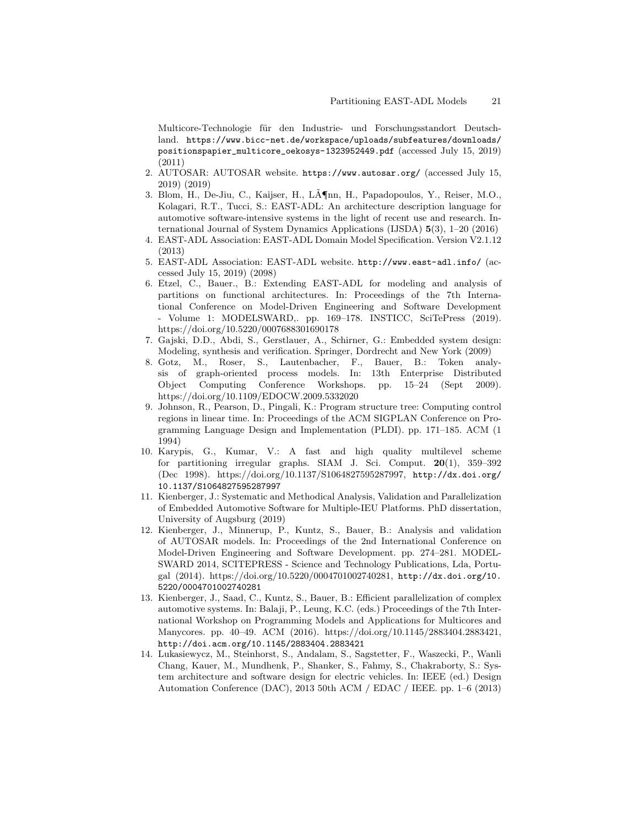Multicore-Technologie für den Industrie- und Forschungsstandort Deutschland. https://www.bicc-net.de/workspace/uploads/subfeatures/downloads/ positionspapier\_multicore\_oekosys-1323952449.pdf (accessed July 15, 2019) (2011)

- 2. AUTOSAR: AUTOSAR website. https://www.autosar.org/ (accessed July 15, 2019) (2019)
- 3. Blom, H., De-Jiu, C., Kaijser, H., LA˜¶nn, H., Papadopoulos, Y., Reiser, M.O., Kolagari, R.T., Tucci, S.: EAST-ADL: An architecture description language for automotive software-intensive systems in the light of recent use and research. International Journal of System Dynamics Applications (IJSDA) 5(3), 1–20 (2016)
- 4. EAST-ADL Association: EAST-ADL Domain Model Specification. Version V2.1.12 (2013)
- 5. EAST-ADL Association: EAST-ADL website. http://www.east-adl.info/ (accessed July 15, 2019) (2098)
- 6. Etzel, C., Bauer., B.: Extending EAST-ADL for modeling and analysis of partitions on functional architectures. In: Proceedings of the 7th International Conference on Model-Driven Engineering and Software Development - Volume 1: MODELSWARD,. pp. 169–178. INSTICC, SciTePress (2019). https://doi.org/10.5220/0007688301690178
- 7. Gajski, D.D., Abdi, S., Gerstlauer, A., Schirner, G.: Embedded system design: Modeling, synthesis and verification. Springer, Dordrecht and New York (2009)
- 8. Gotz, M., Roser, S., Lautenbacher, F., Bauer, B.: Token analysis of graph-oriented process models. In: 13th Enterprise Distributed Object Computing Conference Workshops. pp. 15–24 (Sept 2009). https://doi.org/10.1109/EDOCW.2009.5332020
- 9. Johnson, R., Pearson, D., Pingali, K.: Program structure tree: Computing control regions in linear time. In: Proceedings of the ACM SIGPLAN Conference on Programming Language Design and Implementation (PLDI). pp. 171–185. ACM (1 1994)
- 10. Karypis, G., Kumar, V.: A fast and high quality multilevel scheme for partitioning irregular graphs. SIAM J. Sci. Comput. 20(1), 359–392 (Dec 1998). https://doi.org/10.1137/S1064827595287997, http://dx.doi.org/ 10.1137/S1064827595287997
- 11. Kienberger, J.: Systematic and Methodical Analysis, Validation and Parallelization of Embedded Automotive Software for Multiple-IEU Platforms. PhD dissertation, University of Augsburg (2019)
- 12. Kienberger, J., Minnerup, P., Kuntz, S., Bauer, B.: Analysis and validation of AUTOSAR models. In: Proceedings of the 2nd International Conference on Model-Driven Engineering and Software Development. pp. 274–281. MODEL-SWARD 2014, SCITEPRESS - Science and Technology Publications, Lda, Portugal (2014). https://doi.org/10.5220/0004701002740281, http://dx.doi.org/10. 5220/0004701002740281
- 13. Kienberger, J., Saad, C., Kuntz, S., Bauer, B.: Efficient parallelization of complex automotive systems. In: Balaji, P., Leung, K.C. (eds.) Proceedings of the 7th International Workshop on Programming Models and Applications for Multicores and Manycores. pp. 40–49. ACM (2016). https://doi.org/10.1145/2883404.2883421, http://doi.acm.org/10.1145/2883404.2883421
- 14. Lukasiewycz, M., Steinhorst, S., Andalam, S., Sagstetter, F., Waszecki, P., Wanli Chang, Kauer, M., Mundhenk, P., Shanker, S., Fahmy, S., Chakraborty, S.: System architecture and software design for electric vehicles. In: IEEE (ed.) Design Automation Conference (DAC), 2013 50th ACM / EDAC / IEEE. pp. 1–6 (2013)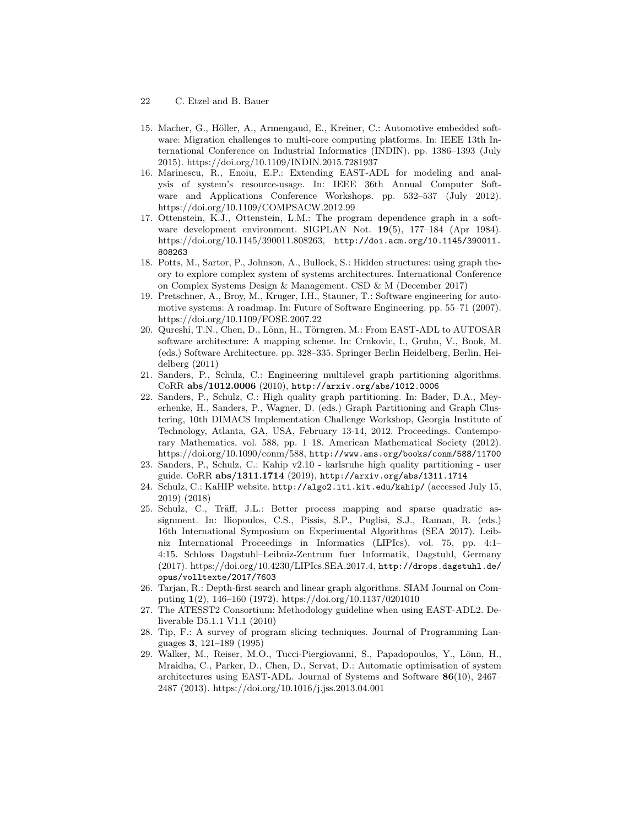- 22 C. Etzel and B. Bauer
- 15. Macher, G., Höller, A., Armengaud, E., Kreiner, C.: Automotive embedded software: Migration challenges to multi-core computing platforms. In: IEEE 13th International Conference on Industrial Informatics (INDIN). pp. 1386–1393 (July 2015). https://doi.org/10.1109/INDIN.2015.7281937
- 16. Marinescu, R., Enoiu, E.P.: Extending EAST-ADL for modeling and analysis of system's resource-usage. In: IEEE 36th Annual Computer Software and Applications Conference Workshops. pp. 532–537 (July 2012). https://doi.org/10.1109/COMPSACW.2012.99
- 17. Ottenstein, K.J., Ottenstein, L.M.: The program dependence graph in a software development environment. SIGPLAN Not. 19(5), 177-184 (Apr 1984). https://doi.org/10.1145/390011.808263, http://doi.acm.org/10.1145/390011. 808263
- 18. Potts, M., Sartor, P., Johnson, A., Bullock, S.: Hidden structures: using graph theory to explore complex system of systems architectures. International Conference on Complex Systems Design & Management. CSD & M (December 2017)
- 19. Pretschner, A., Broy, M., Kruger, I.H., Stauner, T.: Software engineering for automotive systems: A roadmap. In: Future of Software Engineering. pp. 55–71 (2007). https://doi.org/10.1109/FOSE.2007.22
- 20. Qureshi, T.N., Chen, D., Lönn, H., Törngren, M.: From EAST-ADL to AUTOSAR software architecture: A mapping scheme. In: Crnkovic, I., Gruhn, V., Book, M. (eds.) Software Architecture. pp. 328–335. Springer Berlin Heidelberg, Berlin, Heidelberg (2011)
- 21. Sanders, P., Schulz, C.: Engineering multilevel graph partitioning algorithms. CoRR abs/1012.0006 (2010), http://arxiv.org/abs/1012.0006
- 22. Sanders, P., Schulz, C.: High quality graph partitioning. In: Bader, D.A., Meyerhenke, H., Sanders, P., Wagner, D. (eds.) Graph Partitioning and Graph Clustering, 10th DIMACS Implementation Challenge Workshop, Georgia Institute of Technology, Atlanta, GA, USA, February 13-14, 2012. Proceedings. Contemporary Mathematics, vol. 588, pp. 1–18. American Mathematical Society (2012). https://doi.org/10.1090/conm/588, http://www.ams.org/books/conm/588/11700
- 23. Sanders, P., Schulz, C.: Kahip v2.10 karlsruhe high quality partitioning user guide. CoRR abs/1311.1714 (2019), http://arxiv.org/abs/1311.1714
- 24. Schulz, C.: KaHIP website. http://algo2.iti.kit.edu/kahip/ (accessed July 15, 2019) (2018)
- 25. Schulz, C., Träff, J.L.: Better process mapping and sparse quadratic assignment. In: Iliopoulos, C.S., Pissis, S.P., Puglisi, S.J., Raman, R. (eds.) 16th International Symposium on Experimental Algorithms (SEA 2017). Leibniz International Proceedings in Informatics (LIPIcs), vol. 75, pp. 4:1– 4:15. Schloss Dagstuhl–Leibniz-Zentrum fuer Informatik, Dagstuhl, Germany (2017). https://doi.org/10.4230/LIPIcs.SEA.2017.4, http://drops.dagstuhl.de/ opus/volltexte/2017/7603
- 26. Tarjan, R.: Depth-first search and linear graph algorithms. SIAM Journal on Computing 1(2), 146–160 (1972). https://doi.org/10.1137/0201010
- 27. The ATESST2 Consortium: Methodology guideline when using EAST-ADL2. Deliverable D5.1.1 V1.1 (2010)
- 28. Tip, F.: A survey of program slicing techniques. Journal of Programming Languages 3, 121–189 (1995)
- 29. Walker, M., Reiser, M.O., Tucci-Piergiovanni, S., Papadopoulos, Y., Lönn, H., Mraidha, C., Parker, D., Chen, D., Servat, D.: Automatic optimisation of system architectures using EAST-ADL. Journal of Systems and Software 86(10), 2467– 2487 (2013). https://doi.org/10.1016/j.jss.2013.04.001